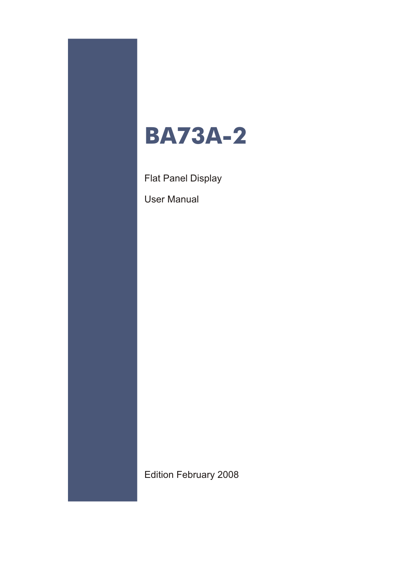

Flat Panel Display

User Manual

Edition February 2008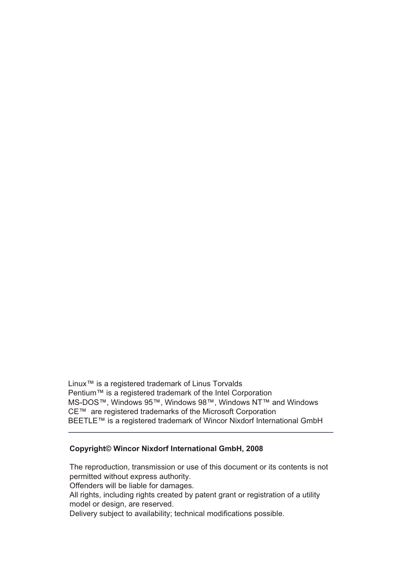Linux<sup>™</sup> is a registered trademark of Linus Torvalds Pentium™ is a registered trademark of the Intel Corporation MS-DOS™, Windows 95™, Windows 98™, Windows NT™ and Windows CE™ are registered trademarks of the Microsoft Corporation BEETLE™ is a registered trademark of Wincor Nixdorf International GmbH

#### **Co py right© Win cor Nix dorf In ter na tio nal GmbH, 2008**

The reproduction, transmission or use of this document or its contents is not permitted without express authority.

Offenders will be liable for damages.

All rights, including rights created by patent grant or registration of a utility model or design, are reserved.

Delivery subject to availability; technical modifications possible.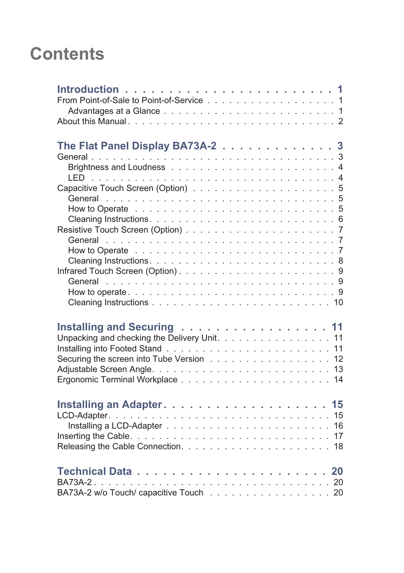# **Contents**

| From Point-of-Sale to Point-of-Service 1                                                                               |
|------------------------------------------------------------------------------------------------------------------------|
| The Flat Panel Display BA73A-2 3                                                                                       |
| Installing and Securing 11<br>Unpacking and checking the Delivery Unit. 11<br>Securing the screen into Tube Version 12 |
|                                                                                                                        |
| BA73A-2<br>BA73A-2 w/o Touch/ capacitive Touch 20                                                                      |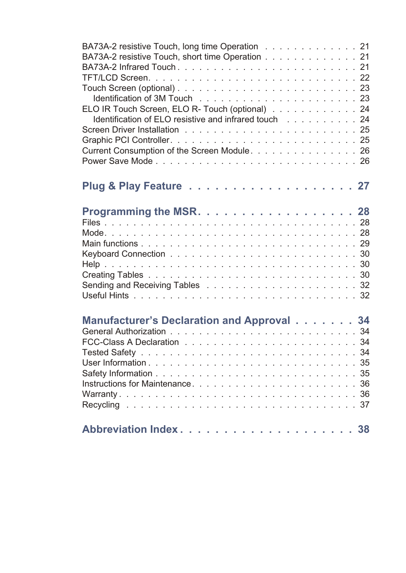| BA73A-2 resistive Touch, long time Operation 21       |  |
|-------------------------------------------------------|--|
| BA73A-2 resistive Touch, short time Operation 21      |  |
|                                                       |  |
|                                                       |  |
|                                                       |  |
|                                                       |  |
| ELO IR Touch Screen, ELO R- Touch (optional) 24       |  |
| Identification of ELO resistive and infrared touch 24 |  |
|                                                       |  |
|                                                       |  |
| Current Consumption of the Screen Module. 26          |  |
|                                                       |  |
|                                                       |  |
|                                                       |  |
|                                                       |  |
|                                                       |  |
| Programming the MSR. 28                               |  |
|                                                       |  |
|                                                       |  |
|                                                       |  |
|                                                       |  |
|                                                       |  |
|                                                       |  |
|                                                       |  |
|                                                       |  |
|                                                       |  |
|                                                       |  |
| Manufacturer's Declaration and Approval 34            |  |
|                                                       |  |
|                                                       |  |
|                                                       |  |
|                                                       |  |
|                                                       |  |
|                                                       |  |
|                                                       |  |
|                                                       |  |
|                                                       |  |
|                                                       |  |
|                                                       |  |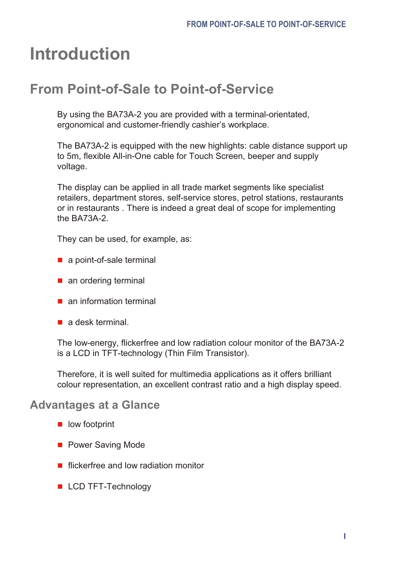# <span id="page-4-0"></span>**Introduction**

### **From Point-of-Sale to Point-of-Service**

By using the BA73A-2 you are provided with a terminal-orientated, er gonomical and customer-friendly cashier's work place.

The BA73A-2 is equipped with the new high lights: cable distance support up to 5m, flexible All-in-One cable for Touch Screen, beeper and supply voltage.

The display can be applied in all trade market segments like specialist retailers, department stores, self-service stores, petrol stations, restaurants or in restaurants. There is indeed a great deal of scope for implementing the BA73A-2.

They can be used, for example, as:

- $\blacksquare$  a point-of-sale terminal
- $\blacksquare$  an ordering terminal
- $\blacksquare$  an information terminal
- $\blacksquare$  a desk terminal.

The low-energy, flicker free and low radiation colour monitor of the BA73A-2 is a LCD in TFT-technology (Thin Film Transistor).

Therefore, it is well suited for multimedia applications as it offers brilliant colour representation, an excellent contrast ratio and a high display speed.

#### **Advantages at a Glance**

- $\blacksquare$  low footprint
- **n** Power Saving Mode
- $\blacksquare$  flicker free and low radiation monitor
- **LCD TFT-Technology**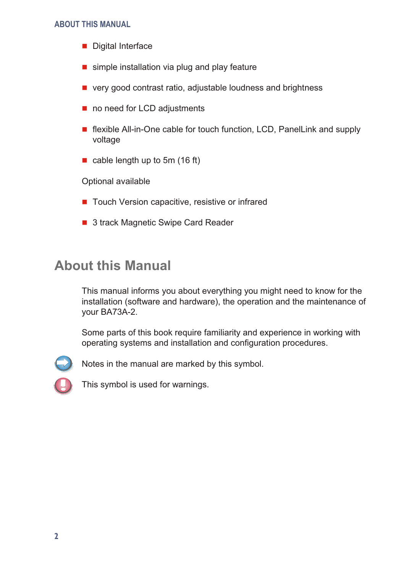#### <span id="page-5-0"></span>**ABOUT THIS MANUAL**

- $\blacksquare$  Digital Interface
- $\blacksquare$  simple installation via plug and play feature
- $\blacksquare$  very good contrast ratio, adjustable loudness and brightness
- $\blacksquare$  no need for LCD adjustments
- $\blacksquare$  flexible All-in-One cable for touch function, LCD, Panel Link and supply voltage
- cable length up to 5m  $(16 ft)$

Optional available

- $\blacksquare$  Touch Version capacitive, resistive or infrared
- 3 track Magnetic Swipe Card Reader

### **About this Manual**

This manual informs you about everything you might need to know for the installation (software and hardware), the operation and the maintenance of your BA73A-2.

Some parts of this book require familiarity and experience in working with operating systems and installation and configuration procedures.



Notes in the manual are marked by this symbol.

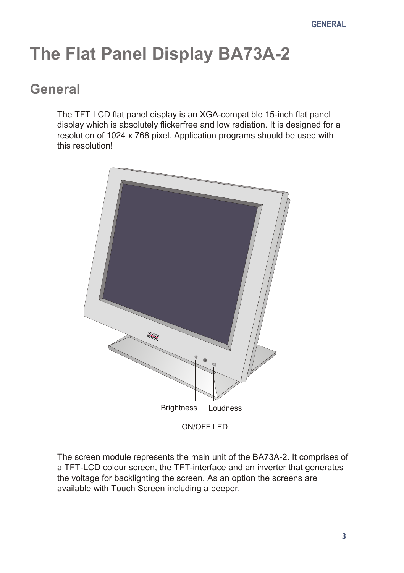# <span id="page-6-0"></span>**The Flat Panel Display BA73A-2**

### **General**

The TFT LCD flat panel display is an XGA-compatible 15-inch flat panel display which is absolutely flicker free and low radiation. It is designed for a resolution of 1024 x 768 pixel. Application programs should be used with this resolution!



The screen module represents the main unit of the BA73A-2. It comprises of a TFT-LCD colour screen, the TFT-interface and an inverter that generates the voltage for backlighting the screen. As an option the screens are available with Touch Screen including a beeper.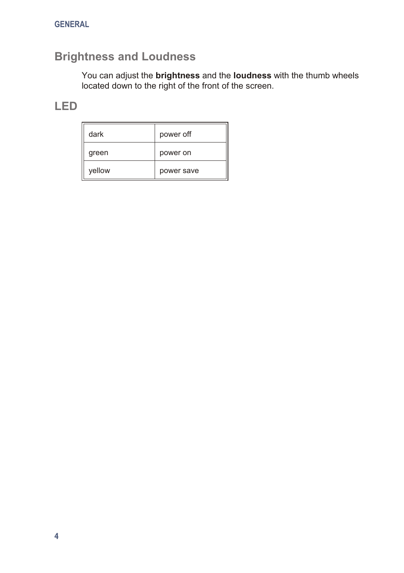#### <span id="page-7-0"></span>**Brightness and Loudness**

You can adjust the **brightness** and the **loudness** with the thumb wheels located down to the right of the front of the screen.

#### **LED**

| dark   | power off  |
|--------|------------|
| green  | power on   |
| yellow | power save |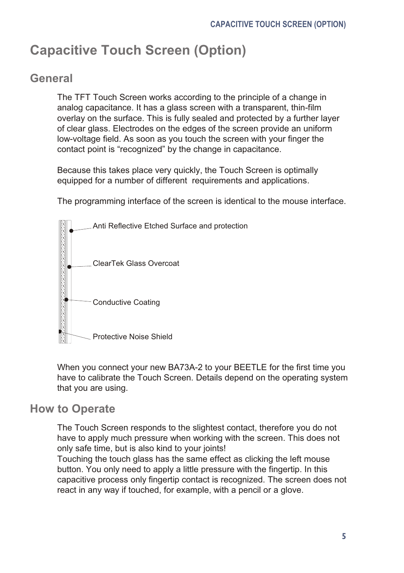# <span id="page-8-0"></span>**Capacitive Touch Screen (Option)**

#### **Ge ne ral**

The TFT Touch Screen works according to the principle of a change in analog capacitance. It has a glass screen with a transparent, thin-film overlay on the surface. This is fully sealed and protected by a further layer of clear glass. Electrodes on the edges of the screen provide an uniform low-voltage field. As soon as you touch the screen with your finger the contact point is "recognized" by the change in capacitance.

Because this takes place very quickly, the Touch Screen is optimally equipped for a number of different requirements and applications.

The programming interface of the screen is identical to the mouse interface.



When you connect your new BA73A-2 to your BEETLE for the first time you have to calibrate the Touch Screen. Details depend on the operating system that you are using.

#### **How to Operate**

The Touch Screen responds to the slightest contact, therefore you do not have to apply much pressure when working with the screen. This does not only safe time, but is also kind to your joints!

Touching the touch glass has the same effect as clicking the left mouse button. You only need to apply a little pressure with the fingertip. In this ca pacitive process only finger tip contact is recognized. The screen does not react in any way if touched, for example, with a pencil or a glove.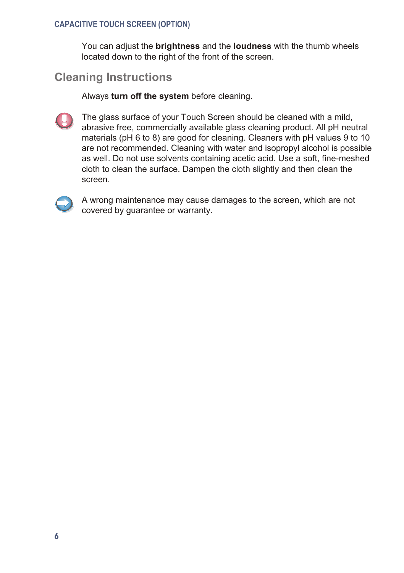#### <span id="page-9-0"></span>**CAPACITIVE TOUCH SCREEN (OPTION)**

You can adjust the **brightness** and the **loudness** with the thumb wheels located down to the right of the front of the screen.

#### **Cleaning Instructions**

Always turn off the system before cleaning.



The glass surface of your Touch Screen should be cleaned with a mild. abrasive free, commercially available glass cleaning product. All pH neutral materials (pH 6 to 8) are good for cleaning. Cleaners with pH values 9 to 10 are not recommended. Cleaning with water and isopropyl alcohol is possible as well. Do not use solvents containing acetic acid. Use a soft, fine-meshed cloth to clean the surface. Dampen the cloth slightly and then clean the screen.



A wrong maintenance may cause damages to the screen, which are not covered by guarantee or warranty.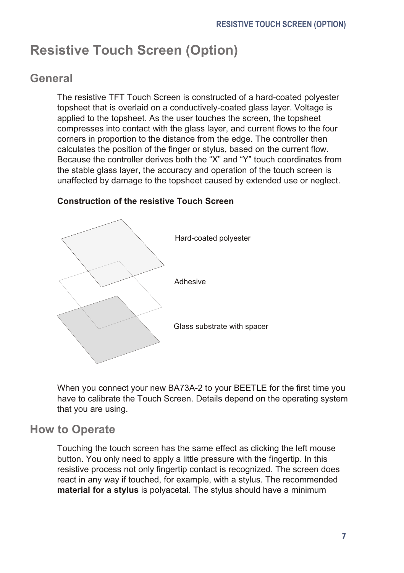# <span id="page-10-0"></span>**Resistive Touch Screen (Option)**

#### **Ge ne ral**

The resistive TFT Touch Screen is constructed of a hard-coated polvester topsheet that is overlaid on a conductively-coated glass layer. Voltage is applied to the topsheet. As the user touches the screen, the topsheet compresses into contact with the glass layer, and current flows to the four corners in proportion to the distance from the edge. The controller then cal culates the position of the finger or stylus, based on the current flow. Because the controller derives both the "X" and "Y" touch coordinates from the stable glass layer, the accuracy and operation of the touch screen is unaffected by damage to the topsheet caused by extended use or neglect.



#### **Construction of the resistive Touch Screen**

When you connect your new BA73A-2 to your BEETLE for the first time you have to calibrate the Touch Screen. Details depend on the operating system that you are using.

#### **How to Operate**

Touching the touch screen has the same effect as clicking the left mouse button. You only need to apply a little pressure with the fingertip. In this resistive process not only fingertip contact is recognized. The screen does react in any way if touched, for example, with a stylus. The recommended **material for a stylus** is polyacetal. The stylus should have a minimum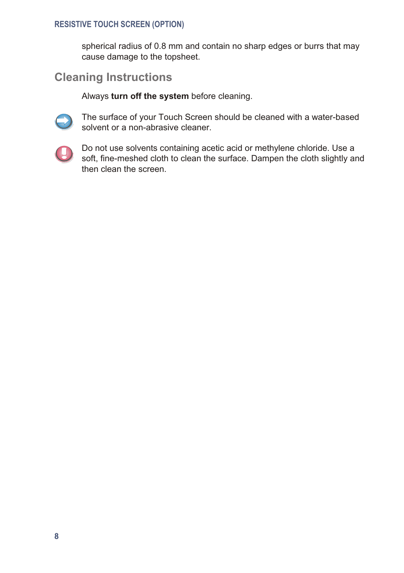#### <span id="page-11-0"></span>**RESISTIVE TOUCH SCREEN (OPTION)**

spherical radius of 0.8 mm and contain no sharp edges or burrs that may cause damage to the topsheet.

#### **Cleaning Instructions**

Always turn off the system before cleaning.



The surface of your Touch Screen should be cleaned with a water-based solvent or a non-abrasive cleaner.



Do not use solvents containing acetic acid or methylene chloride. Use a soft, fine-meshed cloth to clean the surface. Dampen the cloth slightly and then clean the screen.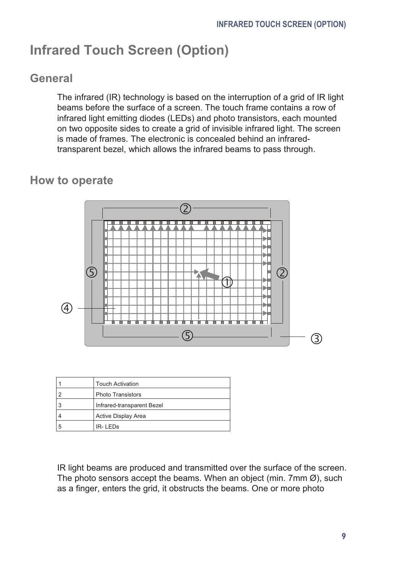# <span id="page-12-0"></span>**Infrared Touch Screen (Option)**

#### **Ge ne ral**

The infrared (IR) technology is based on the interruption of a grid of IR light beams before the surface of a screen. The touch frame contains a row of infrared light emitting diodes (LEDs) and photo transistors, each mounted on two opposite sides to create a grid of invisible infrared light. The screen is made of frames. The electronic is concealed behind an infraredtransparent bezel, which allows the infrared beams to pass through.

#### **How to operate**



|   | <b>Touch Activation</b>    |  |
|---|----------------------------|--|
|   | Photo Transistors          |  |
|   | Infrared-transparent Bezel |  |
|   | Active Display Area        |  |
| 5 | IR-LEDS                    |  |

IR light beams are produced and transmitted over the surface of the screen. The photo sensors accept the beams. When an object (min. 7mm  $\emptyset$ ), such as a finger, enters the grid, it obstructs the beams. One or more photo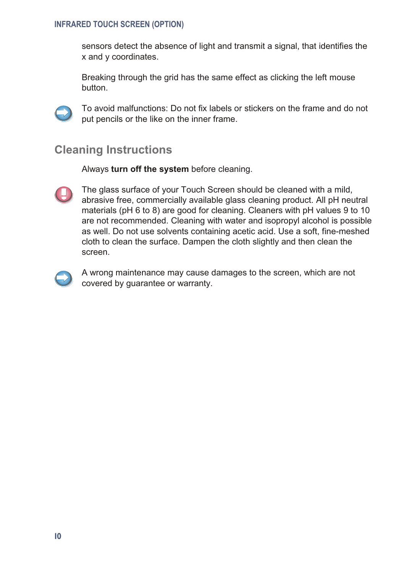#### <span id="page-13-0"></span>**INFRARED TOUCH SCREEN (OPTION)**

sensors detect the absence of light and transmit a signal, that identifies the x and y coordinates.

Breaking through the grid has the same effect as clicking the left mouse button.



To avoid malfunctions: Do not fix labels or stickers on the frame and do not put pencils or the like on the inner frame.

#### **Cleaning Instructions**

Always turn off the system before cleaning.



The glass surface of your Touch Screen should be cleaned with a mild. abrasive free, commercially available glass cleaning product. All pH neutral materials (pH 6 to 8) are good for cleaning. Cleaners with pH values 9 to 10 are not recommended. Cleaning with water and isopropyl alcohol is possible as well. Do not use solvents containing acetic acid. Use a soft, fine-meshed cloth to clean the surface. Dampen the cloth slightly and then clean the screen.



A wrong maintenance may cause damages to the screen, which are not covered by guarantee or warranty.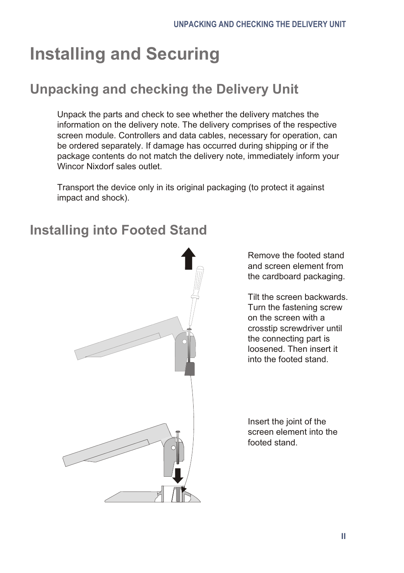# <span id="page-14-0"></span>**Installing and Securing**

# **Unpacking and checking the Delivery Unit**

Unpack the parts and check to see whether the delivery matches the information on the delivery note. The delivery comprises of the respective screen module. Controllers and data cables, necessary for operation, can be ordered separately. If damage has occurred during shipping or if the package contents do not match the delivery note, immediately inform your Wincor Nixdorf sales outlet.

Transport the device only in its original packaging (to protect it against impact and shock).

### **Installing into Footed Stand**



Remove the footed stand and screen element from the cardboard packaging.

Tilt the screen backwards. Turn the fastening screw on the screen with a crosstip screwdriver until the connecting part is loosened. Then insert it into the footed stand.

In sert the joint of the screen element into the footed stand.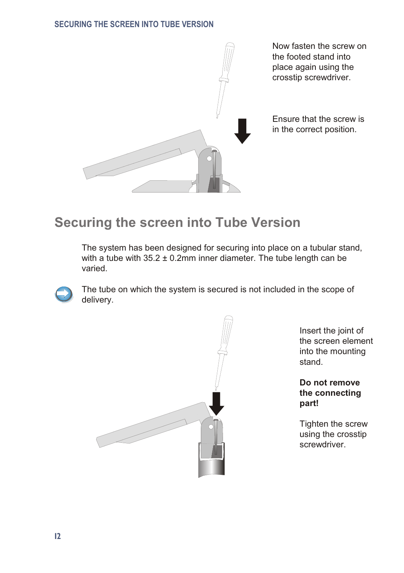#### <span id="page-15-0"></span>**SECURING THE SCREEN INTO TUBE VERSION**



Now fasten the screw on the footed stand into place again using the crosstip screwdriver.

Ensure that the screw is in the correct position.

#### **Securing the screen into Tube Version**

The system has been designed for securing into place on a tubular stand, with a tube with  $35.2 \pm 0.2$ mm inner diameter. The tube length can be varied.



The tube on which the system is secured is not included in the scope of delivery.



In sert the joint of the screen element into the mounting stand.

Do not remove the connecting **part!**

Tighten the screw using the crosstip screwdriver.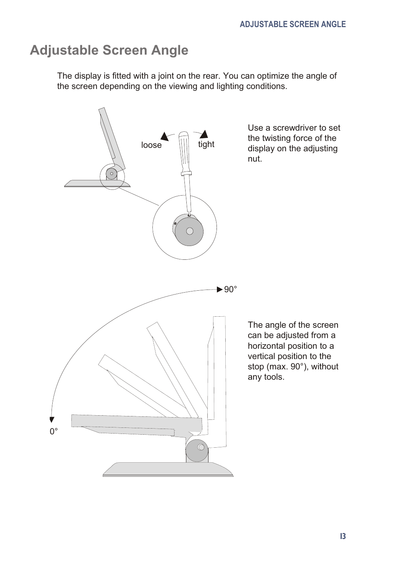## <span id="page-16-0"></span>**Adjustable Screen Angle**

The display is fitted with a joint on the rear. You can optimize the angle of the screen depending on the viewing and lighting conditions.

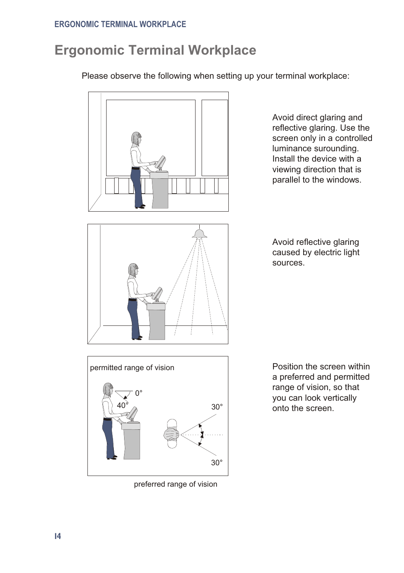# <span id="page-17-0"></span>**Ergonomic Terminal Workplace**

Please observe the following when setting up your terminal workplace:



Avoid direct glaring and reflective glaring. Use the screen only in a controlled luminance surounding. Install the device with a viewing direction that is parallel to the windows.





preferred range of vision

Position the screen within a preferred and permitted range of vision, so that you can look vertically onto the screen.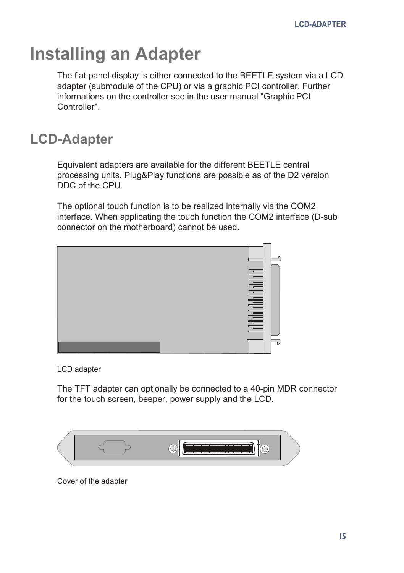# <span id="page-18-0"></span>**Installing an Adapter**

The flat panel display is either connected to the BEETLE system via a LCD adapter (submodule of the CPU) or via a graphic PCI controller. Further informations on the controller see in the user manual "Graphic PCI Controller".

## **LCD-Adapter**

Equivalent adapters are available for the different BEETLE central processing units. Plug&Play functions are possible as of the D2 version DDC of the CPU.

The optional touch function is to be realized internally via the COM2 interface. When applicating the touch function the COM2 interface (D-sub connector on the motherboard) cannot be used.



LCD adapter

The TFT adapter can optionally be connected to a 40-pin MDR connector for the touch screen, beeper, power supply and the LCD.



Cover of the adapter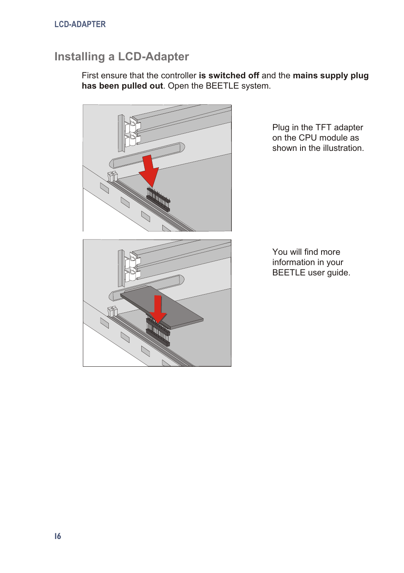#### <span id="page-19-0"></span>**Installing a LCD-Adapter**

First ensure that the controller is switched off and the mains supply plug has been pulled out. Open the BEETLE system.



Plug in the TFT adapter on the CPU module as shown in the illustration.

You will find more information in your BEETLE user guide.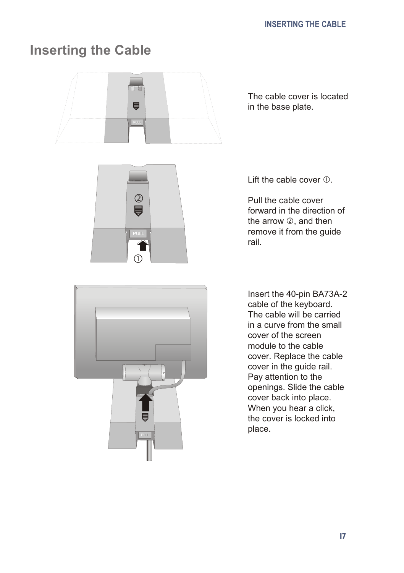# <span id="page-20-0"></span>**Inserting the Cable**



The cable cover is located in the base plate.





Lift the cable cover  $<sub>0</sub>$ .</sub>

Pull the cable cover forward in the direction of the arrow  $\oslash$ , and then remove it from the guide rail.

In sert the 40-pin BA73A-2 cable of the keyboard. The cable will be carried in a curve from the small co ver of the screen module to the cable cover. Replace the cable cover in the guide rail. Pay attention to the openings. Slide the cable cover back into place. When you hear a click. the cover is locked into place.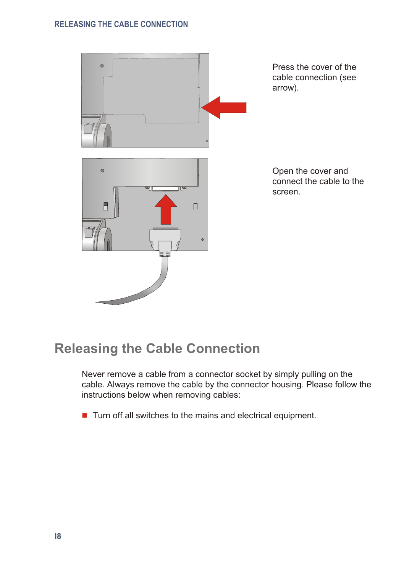<span id="page-21-0"></span>

## **Releasing the Cable Connection**

Never remove a cable from a connector socket by simply pulling on the cable. Always remove the cable by the connector housing. Please follow the instructions below when removing cables:

 $\blacksquare$  Turn off all switches to the mains and electrical equipment.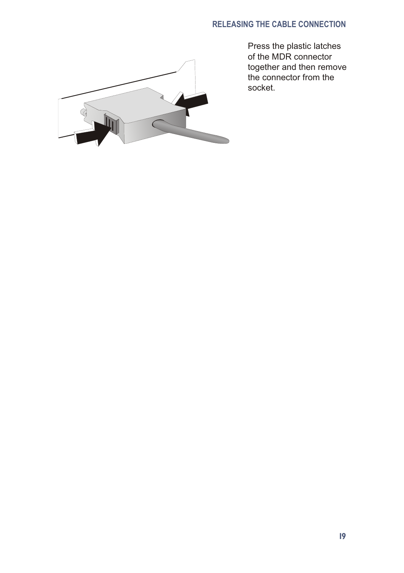#### **RELEASING THE CABLE CONNECTION**



Press the plastic latches of the MDR connector together and then remove the connector from the socket.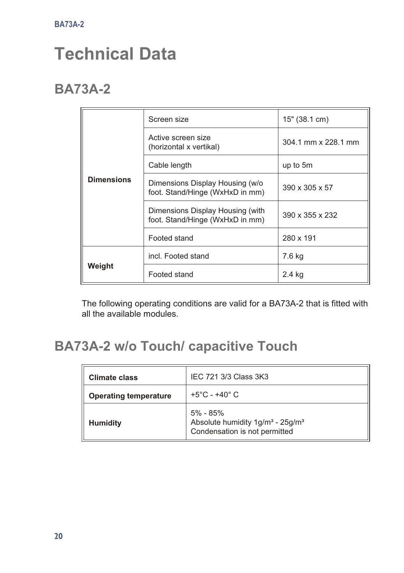# <span id="page-23-0"></span>**Technical Data**

## **BA73A-2**

|                   | Screen size                                                         | 15" (38.1 cm)       |
|-------------------|---------------------------------------------------------------------|---------------------|
|                   | Active screen size<br>(horizontal x vertikal)                       | 304.1 mm x 228.1 mm |
|                   | Cable length                                                        | up to 5m            |
| <b>Dimensions</b> | Dimensions Display Housing (w/o<br>foot. Stand/Hinge (WxHxD in mm)  | 390 x 305 x 57      |
|                   | Dimensions Display Housing (with<br>foot. Stand/Hinge (WxHxD in mm) | 390 x 355 x 232     |
|                   | Footed stand                                                        | 280 x 191           |
|                   | incl. Footed stand                                                  | 7.6 kg              |
| Weight            | Footed stand                                                        | 2.4 kg              |

The following operating conditions are valid for a BA73A-2 that is fitted with all the available modules.

## **BA73A-2 w/o Touch/ capacitive Touch**

| Climate class                | IEC 721 3/3 Class 3K3                                                                                 |  |
|------------------------------|-------------------------------------------------------------------------------------------------------|--|
| <b>Operating temperature</b> | $+5^{\circ}$ C - $+40^{\circ}$ C                                                                      |  |
| <b>Humidity</b>              | 5% - 85%<br>Absolute humidity 1g/m <sup>3</sup> - 25g/m <sup>3</sup><br>Condensation is not permitted |  |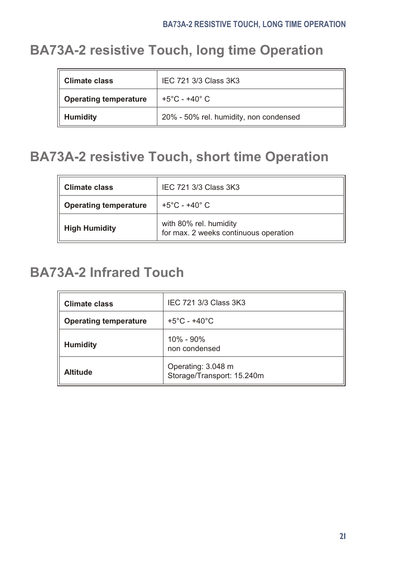# <span id="page-24-0"></span>**BA73A-2 resistive Touch, long time Operation**

| Climate class                | IEC 721 3/3 Class 3K3                  |
|------------------------------|----------------------------------------|
| <b>Operating temperature</b> | $+5^{\circ}$ C - $+40^{\circ}$ C       |
| <b>Humidity</b>              | 20% - 50% rel. humidity, non condensed |

## **BA73A-2 resistive Touch, short time Operation**

| IEC 721 3/3 Class 3K3<br>Climate class |                                                                 |
|----------------------------------------|-----------------------------------------------------------------|
| <b>Operating temperature</b>           | +5°C - +40° C                                                   |
| <b>High Humidity</b>                   | with 80% rel. humidity<br>for max. 2 weeks continuous operation |

## **BA73A-2 Infrared Touch**

| Climate class                | IEC 721 3/3 Class 3K3                            |
|------------------------------|--------------------------------------------------|
| <b>Operating temperature</b> | $+5^{\circ}$ C - $+40^{\circ}$ C                 |
| <b>Humidity</b>              | $10\% - 90\%$<br>non condensed                   |
| <b>Altitude</b>              | Operating: 3.048 m<br>Storage/Transport: 15.240m |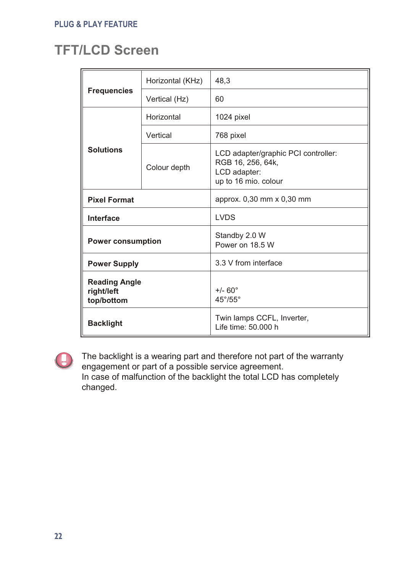# <span id="page-25-0"></span>**TFT/LCD Screen**

|                                                  | Horizontal (KHz) | 48.3                                                                                             |  |
|--------------------------------------------------|------------------|--------------------------------------------------------------------------------------------------|--|
| <b>Frequencies</b>                               | Vertical (Hz)    | 60                                                                                               |  |
|                                                  | Horizontal       | 1024 pixel                                                                                       |  |
|                                                  | Vertical         | 768 pixel                                                                                        |  |
| <b>Solutions</b>                                 | Colour depth     | LCD adapter/graphic PCI controller:<br>RGB 16, 256, 64k,<br>LCD adapter:<br>up to 16 mio. colour |  |
| <b>Pixel Format</b>                              |                  | approx. 0.30 mm x 0.30 mm                                                                        |  |
| Interface                                        |                  | <b>LVDS</b>                                                                                      |  |
| <b>Power consumption</b>                         |                  | Standby 2.0 W<br>Power on 18.5 W                                                                 |  |
| <b>Power Supply</b>                              |                  | 3.3 V from interface                                                                             |  |
| <b>Reading Angle</b><br>right/left<br>top/bottom |                  | $+/- 60^{\circ}$<br>$45^{\circ}/55^{\circ}$                                                      |  |
| <b>Backlight</b>                                 |                  | Twin lamps CCFL, Inverter,<br>Life time: 50,000 h                                                |  |



The backlight is a wearing part and therefore not part of the warranty engagement or part of a possible service agreement. In case of malfunction of the backlight the total LCD has completely changed.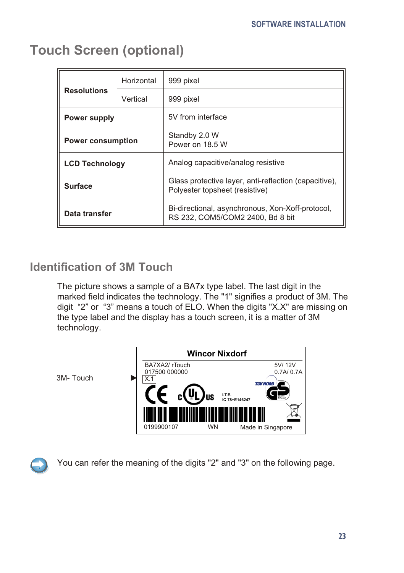| <b>Resolutions</b>       | Horizontal | 999 pixel                                                                               |
|--------------------------|------------|-----------------------------------------------------------------------------------------|
|                          | Vertical   | 999 pixel                                                                               |
| <b>Power supply</b>      |            | 5V from interface                                                                       |
| <b>Power consumption</b> |            | Standby 2.0 W<br>Power on 18.5 W                                                        |
| <b>LCD Technology</b>    |            | Analog capacitive/analog resistive                                                      |
| <b>Surface</b>           |            | Glass protective layer, anti-reflection (capacitive),<br>Polyester topsheet (resistive) |
| Data transfer            |            | Bi-directional, asynchronous, Xon-Xoff-protocol,<br>RS 232, COM5/COM2 2400, Bd 8 bit    |

## <span id="page-26-0"></span>**Touch Screen (optional)**

#### **Identification of 3M Touch**

The picture shows a sample of a BA7x type label. The last digit in the marked field indicates the technology. The "1" signifies a product of 3M. The digit "2" or "3" means a touch of ELO. When the digits "X.X" are missing on the type label and the display has a touch screen, it is a matter of 3M technology.





You can refer the meaning of the digits "2" and "3" on the following page.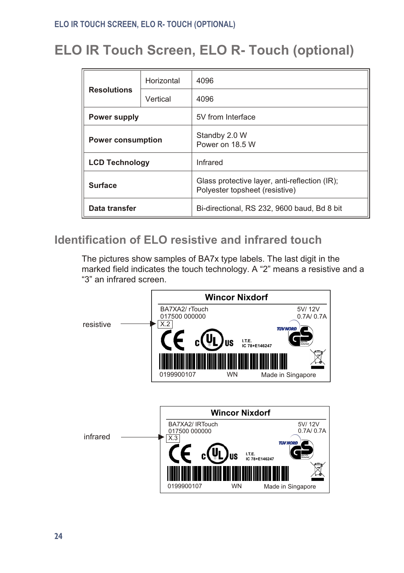# <span id="page-27-0"></span>**ELO IR Touch Screen, ELO R- Touch (optional)**

| <b>Resolutions</b>       | Horizontal | 4096                                                                            |
|--------------------------|------------|---------------------------------------------------------------------------------|
|                          | Vertical   | 4096                                                                            |
| Power supply             |            | 5V from Interface                                                               |
| <b>Power consumption</b> |            | Standby 2.0 W<br>Power on 18.5 W                                                |
| <b>LCD Technology</b>    |            | Infrared                                                                        |
| <b>Surface</b>           |            | Glass protective layer, anti-reflection (IR);<br>Polyester topsheet (resistive) |
| Data transfer            |            | Bi-directional, RS 232, 9600 baud, Bd 8 bit                                     |

#### **Identification of ELO resistive and infrared touch**

The pictures show samples of BA7x type labels. The last digit in the marked field indicates the touch technology. A "2" means a resistive and a "3" an infrared screen.

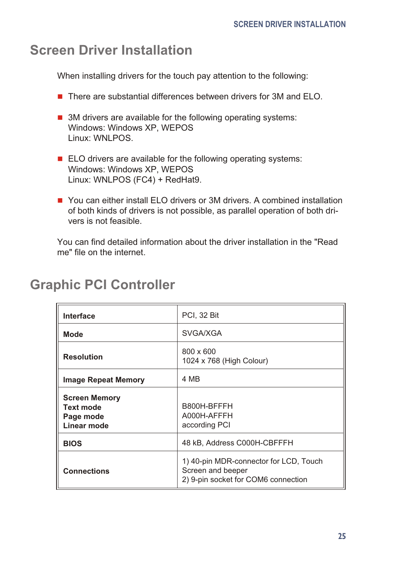## <span id="page-28-0"></span>**Screen Driver Installation**

When installing drivers for the touch pay attention to the following:

- $\blacksquare$  There are substantial differences between drivers for 3M and ELO.
- $\blacksquare$  3M drivers are available for the following operating systems: Windows: Windows XP, WEPOS Linux: WNLPOS.
- $\blacksquare$  ELO drivers are available for the following operating systems: Windows: Windows XP, WEPOS Linux: WNLPOS (FC4) + RedHat9.
- $\blacksquare$  You can either install ELO drivers or 3M drivers. A combined installation of both kinds of drivers is not possible, as parallel operation of both drivers is not feasible.

You can find detailed information about the driver installation in the "Read me" file on the internet.

| Interface                                                     | PCI, 32 Bit                                                                                        |
|---------------------------------------------------------------|----------------------------------------------------------------------------------------------------|
| Mode                                                          | SVGA/XGA                                                                                           |
| <b>Resolution</b>                                             | 800 x 600<br>1024 x 768 (High Colour)                                                              |
| <b>Image Repeat Memory</b>                                    | 4 MB                                                                                               |
| <b>Screen Memory</b><br>Text mode<br>Page mode<br>Linear mode | B800H-BFFFH<br>A000H-AFFFH<br>according PCI                                                        |
| <b>BIOS</b>                                                   | 48 kB, Address C000H-CBFFFH                                                                        |
| <b>Connections</b>                                            | 1) 40-pin MDR-connector for LCD, Touch<br>Screen and beeper<br>2) 9-pin socket for COM6 connection |

### **Graphic PCI Controller**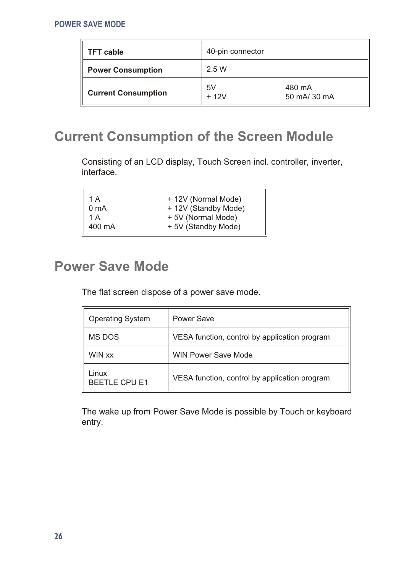<span id="page-29-0"></span>

| <b>TFT cable</b>           | 40-pin connector |                        |
|----------------------------|------------------|------------------------|
| <b>Power Consumption</b>   | 2.5 W            |                        |
| <b>Current Consumption</b> | 5V<br>12V        | 480 mA<br>50 mA/ 30 mA |

# **Current Consumption of the Screen Module**

Consisting of an LCD display, Touch Screen incl. controller, inverter, interface.

| $\parallel$ 1 A    | + 12V (Normal Mode)  |
|--------------------|----------------------|
| $\parallel$ 0 mA   | + 12V (Standby Mode) |
| $\parallel$ 1 A    | +5V (Normal Mode)    |
| $\parallel$ 400 mA | +5V (Standby Mode)   |
|                    |                      |

# **Power Save Mode**

 $\overline{a}$ 

The flat screen dispose of a power save mode.

| <b>Operating System</b>       | Power Save                                    |
|-------------------------------|-----------------------------------------------|
| MS DOS                        | VESA function, control by application program |
| WIN xx                        | <b>WIN Power Save Mode</b>                    |
| Linux<br><b>BEETLE CPU E1</b> | VESA function, control by application program |

The wake up from Power Save Mode is possible by Touch or keyboard entry.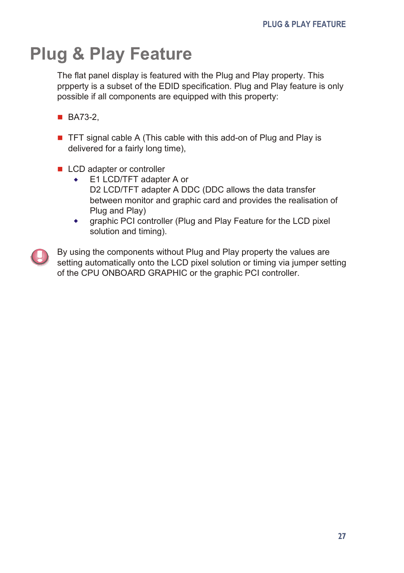# <span id="page-30-0"></span>**Plug & Play Feature**

The flat panel display is featured with the Plug and Play property. This prpperty is a subset of the EDID specification. Plug and Play feature is only possible if all components are equipped with this property:

- BA73-2.
- **THE TE SET IS NOTE A** (This cable with this add-on of Plug and Play is delivered for a fairly long time),
- $\blacksquare$  LCD adapter or controller
	- ◆ E1 LCD/TFT adapter A or D2 LCD/TFT adapter A DDC (DDC allows the data transfer between monitor and graphic card and provides the realisation of Plug and Play)
	- $\bullet$  qraphic PCI controller (Plug and Play Feature for the LCD pixel solution and timing).



By using the components without Plug and Play property the values are setting automatically onto the LCD pixel solution or timing via jumper setting of the CPU ONBOARD GRAPHIC or the graphic PCI controller.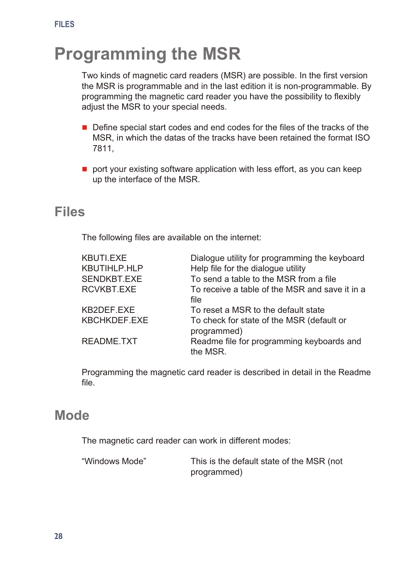# <span id="page-31-0"></span>**Programming the MSR**

Two kinds of magnetic card readers (MSR) are possible. In the first version the MSR is programmable and in the last edition it is non-programmable. By programming the magnetic card reader you have the possibility to flexibly adiust the MSR to your special needs.

- $\blacksquare$  Define special start codes and end codes for the files of the tracks of the MSR, in which the datas of the tracks have been retained the format ISO 7811,
- $\blacksquare$  port your existing software application with less effort, as you can keep up the interface of the MSR.

#### **Fi les**

The following files are available on the internet:

| KBUTI.EXE    | Dialogue utility for programming the keyboard            |
|--------------|----------------------------------------------------------|
| KBUTIHLP.HLP | Help file for the dialogue utility                       |
| SENDKBT.EXE  | To send a table to the MSR from a file                   |
| RCVKBT.EXE   | To receive a table of the MSR and save it in a           |
|              | file                                                     |
| KB2DEF.EXE   | To reset a MSR to the default state                      |
| KBCHKDEF.EXE | To check for state of the MSR (default or<br>programmed) |
| README.TXT   | Readme file for programming keyboards and<br>the MSR.    |

Programming the magnetic card reader is described in detail in the Readme file.

#### **Mode**

The magnetic card reader can work in different modes:

| "Windows Mode" | This is the default state of the MSR (not |
|----------------|-------------------------------------------|
|                | programmed)                               |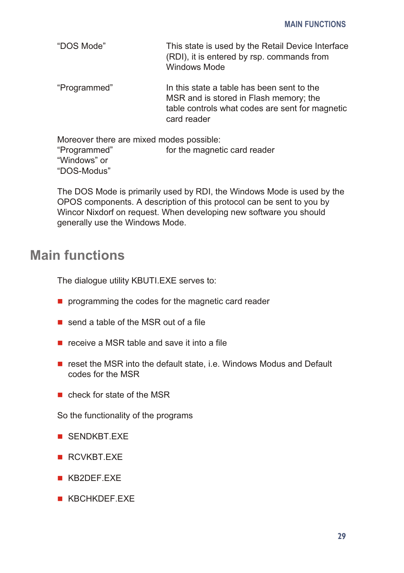<span id="page-32-0"></span>

| "DOS Mode" | This state is used by the Retail Device Interface |
|------------|---------------------------------------------------|
|            | (RDI), it is entered by rsp. commands from        |
|            | Windows Mode                                      |

"Programmed" In this state a table has been sent to the MSR and is stored in Flash memory; the table controls what codes are sent for magnetic card rea der

Moreover there are mixed modes possible: "Programmed" for the magnetic card reader "Windows" or "DOS-Modus"

The DOS Mode is primarily used by RDI, the Windows Mode is used by the OPOS components. A description of this protocol can be sent to you by Wincor Nixdorf on request. When developing new software you should generally use the Windows Mode.

### **Main functions**

The dialogue utility KBUTI.EXE serves to:

- $\blacksquare$  programming the codes for the magnetic card reader
- $\blacksquare$  send a table of the MSR out of a file
- $\blacksquare$  receive a MSR table and save it into a file
- $\blacksquare$  reset the MSR into the default state, i.e. Windows Modus and Default codes for the MSR
- $n$  check for state of the MSR

So the functionality of the programs

- **n** SENDKBT.FXF
- **RCVKBT FXF**
- **KB2DEF FXF**
- **KBCHKDEF EXE**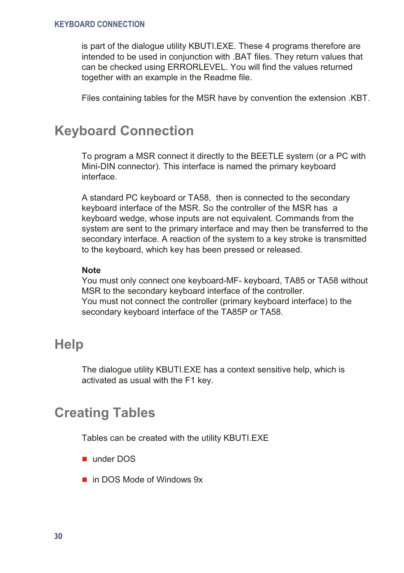<span id="page-33-0"></span>is part of the dialoque utility KBUTI.EXE. These 4 programs therefore are intended to be used in conjunction with .BAT files. They return values that can be checked using ERRORLEVEL. You will find the values returned together with an example in the Readme file.

Files containing tables for the MSR have by convention the extension .KBT.

#### **Keyboard Connection**

To program a MSR connect it directly to the BEETLE system (or a PC with Mini-DIN connector). This interface is named the primary keyboard interface.

A standard PC keyboard or TA58, then is connected to the secondary keyboard interface of the MSR. So the controller of the MSR has a keyboard wedge, whose inputs are not equivalent. Commands from the system are sent to the primary interface and may then be transferred to the se condary interface. A reaction of the system to a key stroke is trans mitted to the keyboard, which key has been pressed or released.

#### **Note**

You must only connect one keyboard-MF- keyboard, TA85 or TA58 without MSR to the secondary keyboard interface of the controller. You must not connect the controller (primary keyboard interface) to the secondary keyboard interface of the TA85P or TA58.

#### **Help**

The dialogue utility KBUTI.EXE has a context sensitive help, which is activated as usual with the F1 key.

### **Creating Tables**

Tables can be created with the utility KBUTI.EXE

- under DOS
- $\blacksquare$  in DOS Mode of Windows 9x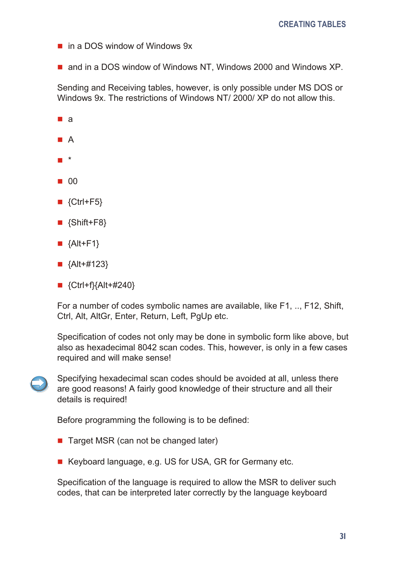- $\Box$  in a DOS window of Windows 9x
- $\blacksquare$  and in a DOS window of Windows NT, Windows 2000 and Windows XP.

Sending and Receiving tables, however, is only possible under MS DOS or Windows 9x. The restrictions of Windows NT/ 2000/ XP do not allow this.

- $a$
- $\blacksquare$  A
- n \*
- $\blacksquare$  00
- $\blacksquare$  {Ctrl+F5}
- $\blacksquare$  {Shift+F8}
- $\blacksquare$  {Alt+F1}
- $\blacksquare$  {Alt+#123}
- $\blacksquare$  {Ctrl+f}{Alt+#240}

For a number of codes symbolic names are available, like F1, ... F12, Shift, Ctrl, Alt, AltGr, Enter, Return, Left, PaUp etc.

Specification of codes not only may be done in symbolic form like above, but also as hexadecimal 8042 scan codes. This, however, is only in a few cases required and will make sense!



Specifying hexadecimal scan codes should be avoided at all, unless there are good reasons! A fairly good knowledge of their structure and all their details is required!

Before programming the following is to be defined:

- $\blacksquare$  Target MSR (can not be changed later)
- Keyboard language, e.g. US for USA, GR for Germany etc.

Specification of the language is required to allow the MSR to deliver such codes, that can be interpreted later correctly by the language keyboard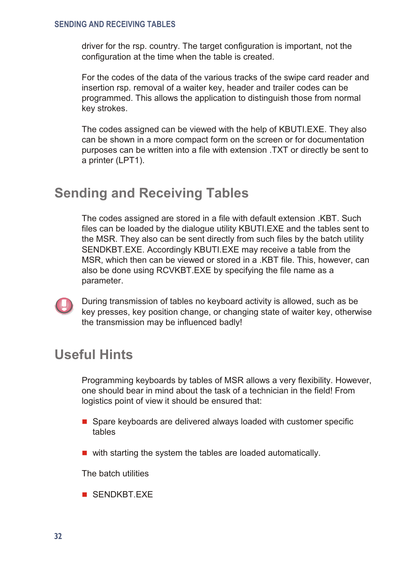#### <span id="page-35-0"></span>**SENDING AND RECEIVING TABLES**

driver for the rsp. country. The target configuration is important, not the configuration at the time when the table is created.

For the codes of the data of the various tracks of the swipe card reader and insertion rsp. removal of a waiter key, header and trailer codes can be programmed. This allows the application to distinguish those from normal key strokes.

The codes assigned can be viewed with the help of KBUTI.EXE. They also can be shown in a more compact form on the screen or for documentation purposes can be written into a file with extension .TXT or directly be sent to a printer (LPT1).

#### **Sending and Receiving Tables**

The codes assigned are stored in a file with default extension .KBT. Such files can be loaded by the dialogue utility KBUTI.EXE and the tables sent to the MSR. They also can be sent directly from such files by the batch utility SENDKBT.EXE. Accordingly KBUTI.EXE may receive a table from the MSR, which then can be viewed or stored in a .KBT file. This, however, can also be done using RCVKBT.EXE by specifying the file name as a parameter.



During transmission of tables no keyboard activity is allowed, such as be key presses, key position change, or changing state of waiter key, otherwise the transmission may be influenced badly!

### **Use ful Hints**

Programming keyboards by tables of MSR allows a very flexibility. However, one should bear in mind about the task of a technician in the field! From logistics point of view it should be ensured that:

- $\blacksquare$  Spare keyboards are delivered always loaded with customer specific tables
- $\blacksquare$  with starting the system the tables are loaded automatically.

The batch utilities

 $\blacksquare$  SENDKBT FXF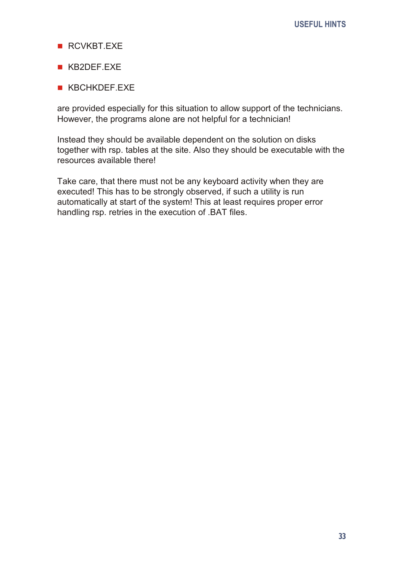- $RCVKRT$ FXF
- n KB2DEF.EXE
- **KBCHKDEF EXE**

are provided especially for this situation to allow support of the technicians. However, the programs alone are not helpful for a technician!

Instead they should be available dependent on the solution on disks together with rsp. tables at the site. Also they should be executable with the resources available there!

Take care, that there must not be any keyboard activity when they are executed! This has to be strongly observed, if such a utility is run automatically at start of the system! This at least requires proper error handling rsp. retries in the execution of .BAT files.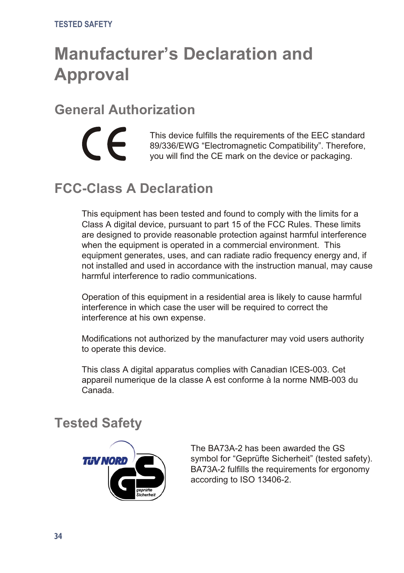# <span id="page-37-0"></span>**Manufacturer's Declaration and Approval**

### **General Authorization**

 $\epsilon$ 

This device fulfills the requirements of the EEC standard 89/336/EWG "Electromagnetic Compatibility". Therefore, you will find the CE mark on the device or packaging.

# **FCC-Class A Declaration**

This equipment has been tested and found to comply with the limits for a Class A digital device, pursuant to part 15 of the FCC Rules. These limits are designed to provide reasonable protection against harmful interference when the equipment is operated in a commercial environment. This equipment generates, uses, and can radiate radio frequency energy and, if not installed and used in accordance with the instruction manual, may cause harmful interference to radio communications.

Operation of this equipment in a residential area is likely to cause harmful interference in which case the user will be required to correct the interference at his own expense.

Modifications not authorized by the manufacturer may void users authority to operate this device.

This class A digital apparatus complies with Canadian ICES-003. Cet appareil numerique de la classe A est conforme à la norme NMB-003 du Canada.

### **Tested Safety**



The BA73A-2 has been awarded the GS symbol for "Geprüfte Sicherheit" (tested safety). BA73A-2 fulfills the requirements for ergonomy according to ISO 13406-2.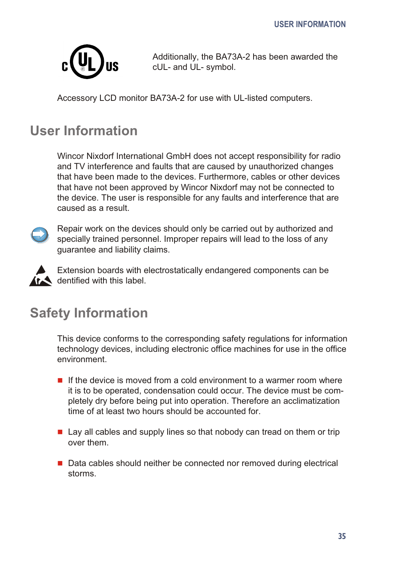<span id="page-38-0"></span>

Additionally, the BA73A-2 has been awarded the cUL- and UL- symbol.

Accessory LCD monitor BA73A-2 for use with UL-listed computers.

# **User Information**

Wincor Nixdorf International GmbH does not accept responsibility for radio and TV interference and faults that are caused by unauthorized changes that have been made to the devices. Furthermore, cables or other devices that have not been approved by Wincor Nixdorf may not be connected to the device. The user is responsible for any faults and interference that are caused as a result.



Repair work on the devices should only be carried out by authorized and specially trained personnel. Improper repairs will lead to the loss of any quarantee and liability claims.



Extension boards with electrostatically endangered components can be  $\mathbf{\hat{f}}$  dentified with this label.

# **Safety Information**

This device conforms to the corresponding safety regulations for information technology devices, including electronic office machines for use in the office environment

- $\blacksquare$  If the device is moved from a cold environment to a warmer room where it is to be operated, condensation could occur. The device must be completely dry before being put into operation. Therefore an acclimatization time of at least two hours should be accounted for
- $\blacksquare$  Lay all cables and supply lines so that nobody can tread on them or trip over them.
- $\blacksquare$  Data cables should neither be connected nor removed during electrical storms.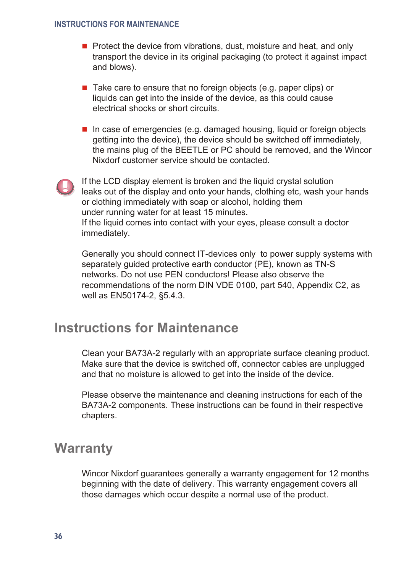#### <span id="page-39-0"></span>**INSTRUCTIONS FOR MAINTENANCE**

- Protect the device from vibrations, dust, moisture and heat, and only transport the device in its original packaging (to protect it against impact and blows).
- $\blacksquare$  Take care to ensure that no foreign objects (e.g. paper clips) or liquids can get into the inside of the device, as this could cause electrical shocks or short circuits.
- $\blacksquare$  In case of emergencies (e.g. da maged housing, liquid or foreign objects getting into the device), the device should be switched off immediately, the mains plug of the BEETLE or PC should be removed, and the Wincor Nixdorf customer service should be contacted.



If the LCD display element is broken and the liquid crystal solution leaks out of the display and onto your hands, clothing etc, wash your hands or clothing immediately with soap or alcohol, holding them under running water for at least 15 minutes. If the liquid comes into contact with your eyes, please consult a doctor immediately.

Generally you should connect IT-devices only to power supply systems with separately guided protective earth conductor (PE), known as TN-S net works. Do not use PEN conductors! Please also observe the recommendations of the norm DIN VDE 0100, part 540, Appendix C2, as well as EN50174-2, §5.4.3.

### **Instructions for Maintenance**

Clean your BA73A-2 requiarly with an appropriate surface cleaning product. Make sure that the device is switched off, connector cables are unplugged and that no moisture is allowed to get into the inside of the device.

Please observe the maintenance and cleaning instructions for each of the BA73A-2 components. These instructions can be found in their respective chapters.

#### **Warranty**

Wincor Nixdorf guarantees generally a warranty engagement for 12 months beginning with the date of delivery. This warranty engagement covers all those damages which occur despite a normal use of the product.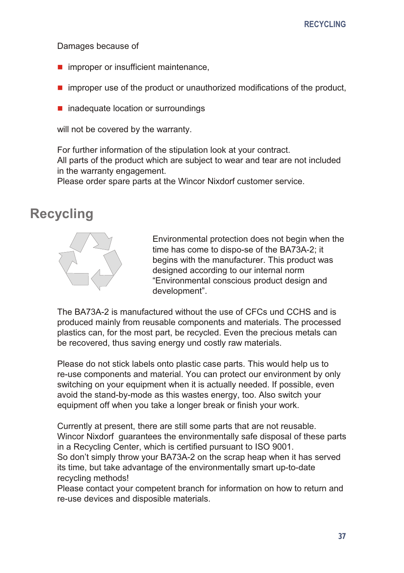<span id="page-40-0"></span>Damages because of

- $\blacksquare$  improper or insufficient maintenance,
- $\blacksquare$  improper use of the product or unauthorized modifications of the product,
- $\blacksquare$  inadequate location or surroundings

will not be covered by the warranty.

For further information of the stipulation look at your contract. All parts of the product which are subject to wear and tear are not included in the warranty engagement.

Please order spare parts at the Wincor Nixdorf customer service.

#### **Recycling**



Environmental protection does not begin when the time has come to dispo-se of the BA73A-2; it begins with the manufacturer. This product was designed according to our internal norm "Environmental conscious product design and development".

The BA73A-2 is manufactured without the use of CFCs und CCHS and is produced mainly from reusable components and materials. The processed plastics can, for the most part, be recycled. Even the precious metals can be recovered, thus saving energy und costly raw materials.

Please do not stick labels onto plastic case parts. This would help us to re-use components and material. You can protect our environment by only switching on your equipment when it is actually needed. If possible, even avoid the stand-by-mode as this wastes energy, too. Also switch your equip ment off when you take a longer break or finish your work.

Currently at present, there are still some parts that are not reusable. Wincor Nixdorf guarantees the environmentally safe disposal of these parts in a Recycling Center, which is certified pursuant to ISO 9001. So don't simply throw your BA73A-2 on the scrap heap when it has served its time, but take advantage of the environmentally smart up-to-date recycling methods!

Please contact your competent branch for information on how to return and re-use devices and disposible materials.